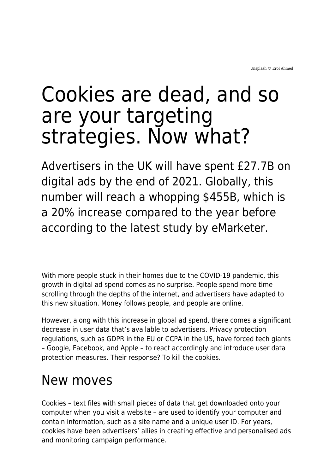## Cookies are dead, and so are your targeting strategies. Now what?

Advertisers in the UK will have spent £27.7B on digital ads by the end of 2021. Globally, this number will reach a whopping \$455B, which is a 20% increase compared to the year before according to the latest study by eMarketer.

With more people stuck in their homes due to the COVID-19 pandemic, this growth in digital ad spend comes as no surprise. People spend more time scrolling through the depths of the internet, and advertisers have adapted to this new situation. Money follows people, and people are online.

However, along with this increase in global ad spend, there comes a significant decrease in user data that's available to advertisers. Privacy protection regulations, such as GDPR in the EU or CCPA in the US, have forced tech giants – Google, Facebook, and Apple – to react accordingly and introduce user data protection measures. Their response? To kill the cookies.

## New moves

Cookies – text files with small pieces of data that get downloaded onto your computer when you visit a website – are used to identify your computer and contain information, such as a site name and a unique user ID. For years, cookies have been advertisers' allies in creating effective and personalised ads and monitoring campaign performance.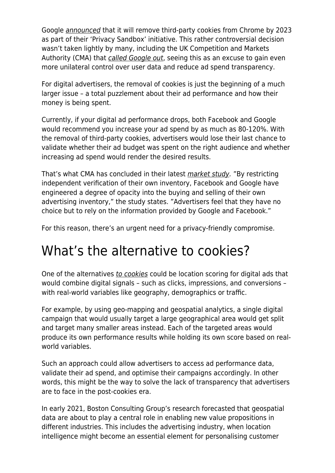Google [announced](https://blog.google/products/chrome/updated-timeline-privacy-sandbox-milestones/) that it will remove third-party cookies from Chrome by 2023 as part of their 'Privacy Sandbox' initiative. This rather controversial decision wasn't taken lightly by many, including the UK Competition and Markets Authority (CMA) that [called Google out](https://www.gov.uk/cma-cases/online-platforms-and-digital-advertising-market-study), seeing this as an excuse to gain even more unilateral control over user data and reduce ad spend transparency.

For digital advertisers, the removal of cookies is just the beginning of a much larger issue – a total puzzlement about their ad performance and how their money is being spent.

Currently, if your digital ad performance drops, both Facebook and Google would recommend you increase your ad spend by as much as 80-120%. With the removal of third-party cookies, advertisers would lose their last chance to validate whether their ad budget was spent on the right audience and whether increasing ad spend would render the desired results.

That's what CMA has concluded in their latest *market study*. "By restricting independent verification of their own inventory, Facebook and Google have engineered a degree of opacity into the buying and selling of their own advertising inventory," the study states. "Advertisers feel that they have no choice but to rely on the information provided by Google and Facebook."

For this reason, there's an urgent need for a privacy-friendly compromise.

## What's the alternative to cookies?

One of the alternatives [to cookies](https://www.maddyness.com/uk/2021/05/05/the-publisher-marketplace-finding-hope-in-a-cookieless-world/) could be location scoring for digital ads that would combine digital signals – such as clicks, impressions, and conversions – with real-world variables like geography, demographics or traffic.

For example, by using geo-mapping and geospatial analytics, a single digital campaign that would usually target a large geographical area would get split and target many smaller areas instead. Each of the targeted areas would produce its own performance results while holding its own score based on realworld variables.

Such an approach could allow advertisers to access ad performance data, validate their ad spend, and optimise their campaigns accordingly. In other words, this might be the way to solve the lack of transparency that advertisers are to face in the post-cookies era.

In early 2021, Boston Consulting Group's research forecasted that geospatial data are about to play a central role in enabling new value propositions in different industries. This includes the advertising industry, when location intelligence might become an essential element for personalising customer